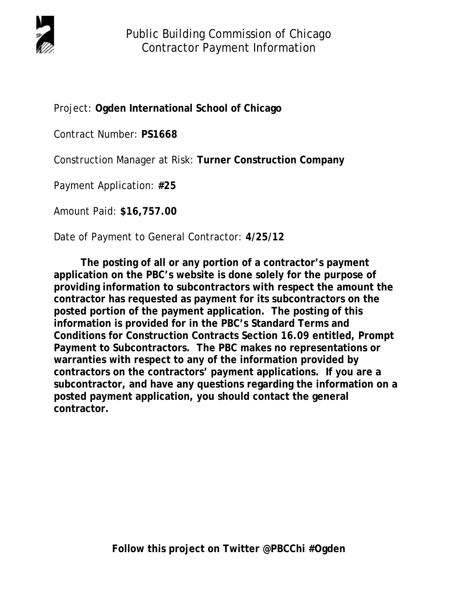

Project: **Ogden International School of Chicago**

Contract Number: **PS1668**

Construction Manager at Risk: **Turner Construction Company** 

Payment Application: **#25**

Amount Paid: **\$16,757.00**

Date of Payment to General Contractor: **4/25/12** 

 **The posting of all or any portion of a contractor's payment application on the PBC's website is done solely for the purpose of providing information to subcontractors with respect the amount the contractor has requested as payment for its subcontractors on the posted portion of the payment application. The posting of this information is provided for in the PBC's Standard Terms and Conditions for Construction Contracts Section 16.09 entitled, Prompt Payment to Subcontractors. The PBC makes no representations or warranties with respect to any of the information provided by contractors on the contractors' payment applications. If you are a subcontractor, and have any questions regarding the information on a posted payment application, you should contact the general contractor.**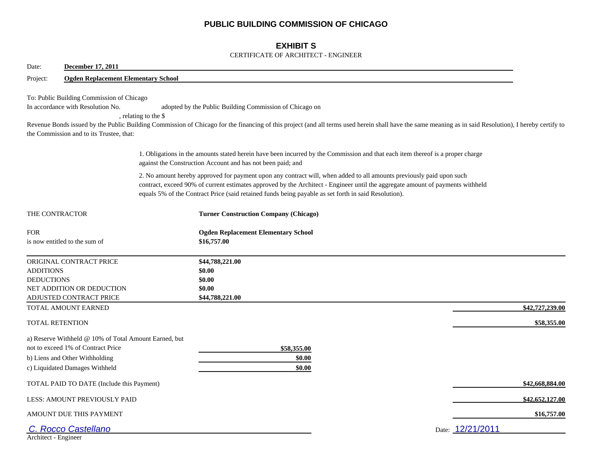## **PUBLIC BUILDING COMMISSION OF CHICAGO**

## **EXHIBIT S**

#### CERTIFICATE OF ARCHITECT - ENGINEER

| Date:<br><b>December 17, 2011</b>                                                                                                                               |                                            |                                                                                                                                                                                                                                                                                                                                                                |                 |
|-----------------------------------------------------------------------------------------------------------------------------------------------------------------|--------------------------------------------|----------------------------------------------------------------------------------------------------------------------------------------------------------------------------------------------------------------------------------------------------------------------------------------------------------------------------------------------------------------|-----------------|
| Project:                                                                                                                                                        | <b>Ogden Replacement Elementary School</b> |                                                                                                                                                                                                                                                                                                                                                                |                 |
| To: Public Building Commission of Chicago<br>In accordance with Resolution No.<br>the Commission and to its Trustee, that:                                      | , relating to the \$                       | adopted by the Public Building Commission of Chicago on<br>Revenue Bonds issued by the Public Building Commission of Chicago for the financing of this project (and all terms used herein shall have the same meaning as in said Resolution), I hereby certify to                                                                                              |                 |
|                                                                                                                                                                 |                                            | 1. Obligations in the amounts stated herein have been incurred by the Commission and that each item thereof is a proper charge<br>against the Construction Account and has not been paid; and                                                                                                                                                                  |                 |
|                                                                                                                                                                 |                                            | 2. No amount hereby approved for payment upon any contract will, when added to all amounts previously paid upon such<br>contract, exceed 90% of current estimates approved by the Architect - Engineer until the aggregate amount of payments withheld<br>equals 5% of the Contract Price (said retained funds being payable as set forth in said Resolution). |                 |
| THE CONTRACTOR                                                                                                                                                  |                                            | <b>Turner Construction Company (Chicago)</b>                                                                                                                                                                                                                                                                                                                   |                 |
| <b>FOR</b><br>is now entitled to the sum of                                                                                                                     |                                            | <b>Ogden Replacement Elementary School</b><br>\$16,757.00                                                                                                                                                                                                                                                                                                      |                 |
| ORIGINAL CONTRACT PRICE<br><b>ADDITIONS</b><br><b>DEDUCTIONS</b><br>NET ADDITION OR DEDUCTION<br>ADJUSTED CONTRACT PRICE                                        |                                            | \$44,788,221.00<br>\$0.00<br>\$0.00<br>\$0.00<br>\$44,788,221.00                                                                                                                                                                                                                                                                                               |                 |
| TOTAL AMOUNT EARNED                                                                                                                                             |                                            |                                                                                                                                                                                                                                                                                                                                                                | \$42,727,239.00 |
| TOTAL RETENTION                                                                                                                                                 |                                            |                                                                                                                                                                                                                                                                                                                                                                | \$58,355.00     |
| a) Reserve Withheld @ 10% of Total Amount Earned, but<br>not to exceed 1% of Contract Price<br>b) Liens and Other Withholding<br>c) Liquidated Damages Withheld |                                            | \$58,355.00<br>\$0.00<br>\$0.00                                                                                                                                                                                                                                                                                                                                |                 |
| TOTAL PAID TO DATE (Include this Payment)                                                                                                                       |                                            |                                                                                                                                                                                                                                                                                                                                                                | \$42,668,884.00 |
| LESS: AMOUNT PREVIOUSLY PAID                                                                                                                                    |                                            |                                                                                                                                                                                                                                                                                                                                                                | \$42,652,127.00 |
| AMOUNT DUE THIS PAYMENT                                                                                                                                         |                                            |                                                                                                                                                                                                                                                                                                                                                                | \$16,757.00     |
| C. Rocco Castellano<br>Architect - Engineer                                                                                                                     |                                            | Date: 12/21/2011                                                                                                                                                                                                                                                                                                                                               |                 |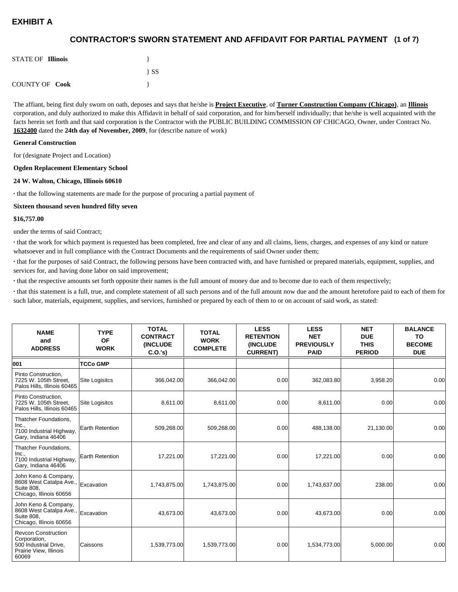## **(1 of 7) CONTRACTOR'S SWORN STATEMENT AND AFFIDAVIT FOR PARTIAL PAYMENT**

| <b>STATE OF Illinois</b> |          |
|--------------------------|----------|
|                          | $\{SS\}$ |
| <b>COUNTY OF Cook</b>    |          |

The affiant, being first duly sworn on oath, deposes and says that he/she is **Project Executive**, of **Turner Construction Company (Chicago)**, an **Illinois** corporation, and duly authorized to make this Affidavit in behalf of said corporation, and for him/herself individually; that he/she is well acquainted with the facts herein set forth and that said corporation is the Contractor with the PUBLIC BUILDING COMMISSION OF CHICAGO, Owner, under Contract No. **1632400** dated the **24th day of November, 2009**, for (describe nature of work)

#### **General Construction**

for (designate Project and Location)

#### **Ogden Replacement Elementary School**

#### **24 W. Walton, Chicago, Illinois 60610**

**·** that the following statements are made for the purpose of procuring a partial payment of

#### **Sixteen thousand seven hundred fifty seven**

#### **\$16,757.00**

under the terms of said Contract;

**·** that the work for which payment is requested has been completed, free and clear of any and all claims, liens, charges, and expenses of any kind or nature whatsoever and in full compliance with the Contract Documents and the requirements of said Owner under them;

**·** that for the purposes of said Contract, the following persons have been contracted with, and have furnished or prepared materials, equipment, supplies, and services for, and having done labor on said improvement;

**·** that the respective amounts set forth opposite their names is the full amount of money due and to become due to each of them respectively;

**·** that this statement is a full, true, and complete statement of all such persons and of the full amount now due and the amount heretofore paid to each of them for such labor, materials, equipment, supplies, and services, furnished or prepared by each of them to or on account of said work, as stated:

| <b>NAME</b><br>and<br><b>ADDRESS</b>                                                                   | <b>TYPE</b><br><b>OF</b><br><b>WORK</b> | <b>TOTAL</b><br><b>CONTRACT</b><br><b>(INCLUDE)</b><br>C.O.'s | <b>TOTAL</b><br><b>WORK</b><br><b>COMPLETE</b> | <b>LESS</b><br><b>RETENTION</b><br><b>(INCLUDE)</b><br><b>CURRENT)</b> | <b>LESS</b><br><b>NET</b><br><b>PREVIOUSLY</b><br><b>PAID</b> | <b>NET</b><br><b>DUE</b><br><b>THIS</b><br><b>PERIOD</b> | <b>BALANCE</b><br>TO<br><b>BECOME</b><br><b>DUE</b> |
|--------------------------------------------------------------------------------------------------------|-----------------------------------------|---------------------------------------------------------------|------------------------------------------------|------------------------------------------------------------------------|---------------------------------------------------------------|----------------------------------------------------------|-----------------------------------------------------|
| 001                                                                                                    | <b>TCCo GMP</b>                         |                                                               |                                                |                                                                        |                                                               |                                                          |                                                     |
| Pinto Construction,<br>7225 W. 105th Street,<br>Palos Hills, Illinois 60465                            | <b>Site Logisitcs</b>                   | 366,042.00                                                    | 366,042.00                                     | 0.00                                                                   | 362,083.80                                                    | 3,958.20                                                 | 0.00                                                |
| Pinto Construction,<br>7225 W. 105th Street,<br>Palos Hills, Illinois 60465                            | <b>Site Logisitcs</b>                   | 8,611.00                                                      | 8,611.00                                       | 0.00                                                                   | 8,611.00                                                      | 0.00                                                     | 0.00                                                |
| Thatcher Foundations,<br>Inc.,<br>7100 Industrial Highway,<br>Gary, Indiana 46406                      | <b>Earth Retention</b>                  | 509,268.00                                                    | 509,268.00                                     | 0.00                                                                   | 488,138.00                                                    | 21,130.00                                                | 0.00                                                |
| Thatcher Foundations,<br>Inc.,<br>7100 Industrial Highway,<br>Gary, Indiana 46406                      | <b>Earth Retention</b>                  | 17,221.00                                                     | 17,221.00                                      | 0.00                                                                   | 17,221.00                                                     | 0.00                                                     | 0.00                                                |
| John Keno & Company,<br>8608 West Catalpa Ave.,<br><b>Suite 808.</b><br>Chicago, Illinois 60656        | Excavation                              | 1,743,875.00                                                  | 1,743,875.00                                   | 0.00                                                                   | 1,743,637.00                                                  | 238.00                                                   | 0.00                                                |
| John Keno & Company,<br>8608 West Catalpa Ave.,<br>Suite 808.<br>Chicago, Illinois 60656               | Excavation                              | 43.673.00                                                     | 43,673.00                                      | 0.00                                                                   | 43.673.00                                                     | 0.00                                                     | 0.00                                                |
| <b>Revcon Construction</b><br>Corporation,<br>500 Industrial Drive,<br>Prairie View, Illinois<br>60069 | <b>Caissons</b>                         | 1,539,773.00                                                  | 1,539,773.00                                   | 0.00                                                                   | 1,534,773.00                                                  | 5,000.00                                                 | 0.00                                                |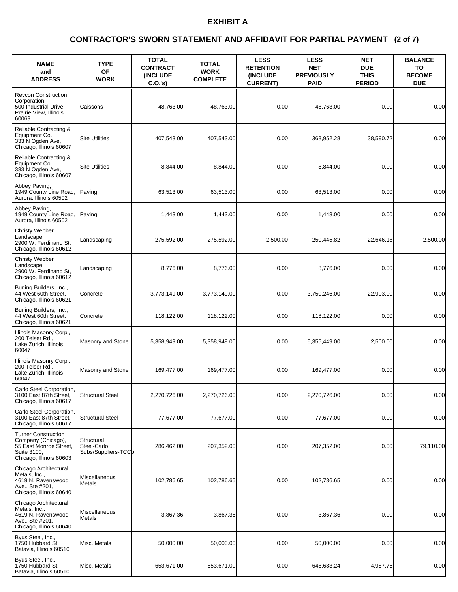### **(2 of 7) CONTRACTOR'S SWORN STATEMENT AND AFFIDAVIT FOR PARTIAL PAYMENT**

| <b>NAME</b><br>and<br><b>ADDRESS</b>                                                                                 | <b>TYPE</b><br><b>OF</b><br><b>WORK</b>          | <b>TOTAL</b><br><b>CONTRACT</b><br><b>(INCLUDE)</b><br>C.O.'s | <b>TOTAL</b><br><b>WORK</b><br><b>COMPLETE</b> | <b>LESS</b><br><b>RETENTION</b><br><b>(INCLUDE)</b><br><b>CURRENT)</b> | <b>LESS</b><br><b>NET</b><br><b>PREVIOUSLY</b><br><b>PAID</b> | <b>NET</b><br><b>DUE</b><br><b>THIS</b><br><b>PERIOD</b> | <b>BALANCE</b><br>TO<br><b>BECOME</b><br><b>DUE</b> |
|----------------------------------------------------------------------------------------------------------------------|--------------------------------------------------|---------------------------------------------------------------|------------------------------------------------|------------------------------------------------------------------------|---------------------------------------------------------------|----------------------------------------------------------|-----------------------------------------------------|
| <b>Revcon Construction</b><br>Corporation,<br>500 Industrial Drive,<br>Prairie View, Illinois<br>60069               | Caissons                                         | 48,763.00                                                     | 48.763.00                                      | 0.00                                                                   | 48,763.00                                                     | 0.00                                                     | 0.00                                                |
| Reliable Contracting &<br>Equipment Co.,<br>333 N Ogden Ave,<br>Chicago, Illinois 60607                              | <b>Site Utilities</b>                            | 407.543.00                                                    | 407,543.00                                     | 0.00                                                                   | 368,952.28                                                    | 38,590.72                                                | 0.00                                                |
| Reliable Contracting &<br>Equipment Co.,<br>333 N Ogden Ave.<br>Chicago, Illinois 60607                              | <b>Site Utilities</b>                            | 8,844.00                                                      | 8,844.00                                       | 0.00                                                                   | 8,844.00                                                      | 0.00                                                     | 0.00                                                |
| Abbey Paving,<br>1949 County Line Road,<br>Aurora, Illinois 60502                                                    | Paving                                           | 63,513.00                                                     | 63,513.00                                      | 0.00                                                                   | 63,513.00                                                     | 0.00                                                     | 0.00                                                |
| Abbey Paving,<br>1949 County Line Road,<br>Aurora, Illinois 60502                                                    | Paving                                           | 1,443.00                                                      | 1,443.00                                       | 0.00                                                                   | 1,443.00                                                      | 0.00                                                     | 0.00                                                |
| <b>Christy Webber</b><br>Landscape,<br>2900 W. Ferdinand St.<br>Chicago, Illinois 60612                              | Landscaping                                      | 275,592.00                                                    | 275,592.00                                     | 2,500.00                                                               | 250,445.82                                                    | 22,646.18                                                | 2,500.00                                            |
| Christy Webber<br>Landscape,<br>2900 W. Ferdinand St,<br>Chicago, Illinois 60612                                     | Landscaping                                      | 8,776.00                                                      | 8.776.00                                       | 0.00                                                                   | 8,776.00                                                      | 0.00                                                     | 0.00                                                |
| Burling Builders, Inc.,<br>44 West 60th Street,<br>Chicago, Illinois 60621                                           | Concrete                                         | 3,773,149.00                                                  | 3,773,149.00                                   | 0.00                                                                   | 3,750,246.00                                                  | 22,903.00                                                | 0.00                                                |
| Burling Builders, Inc.,<br>44 West 60th Street,<br>Chicago, Illinois 60621                                           | Concrete                                         | 118,122.00                                                    | 118,122.00                                     | 0.00                                                                   | 118,122.00                                                    | 0.00                                                     | 0.00                                                |
| Illinois Masonry Corp.,<br>200 Telser Rd.,<br>Lake Zurich, Illinois<br>60047                                         | Masonry and Stone                                | 5,358,949.00                                                  | 5,358,949.00                                   | 0.00                                                                   | 5,356,449.00                                                  | 2.500.00                                                 | 0.00                                                |
| Illinois Masonry Corp.,<br>200 Telser Rd.,<br>Lake Zurich, Illinois<br>60047                                         | Masonry and Stone                                | 169,477.00                                                    | 169,477.00                                     | 0.00                                                                   | 169,477.00                                                    | 0.00                                                     | 0.00                                                |
| Carlo Steel Corporation,<br>3100 East 87th Street,<br>Chicago, Illinois 60617                                        | <b>Structural Steel</b>                          | 2,270,726.00                                                  | 2,270,726.00                                   | 0.00                                                                   | 2,270,726.00                                                  | 0.00                                                     | 0.00                                                |
| Carlo Steel Corporation,<br>3100 East 87th Street,<br>Chicago, Illinois 60617                                        | <b>Structural Steel</b>                          | 77,677.00                                                     | 77,677.00                                      | 0.00                                                                   | 77,677.00                                                     | 0.00                                                     | 0.00                                                |
| <b>Turner Construction</b><br>Company (Chicago),<br>55 East Monroe Street.<br>Suite 3100,<br>Chicago, Illinois 60603 | Structural<br>Steel-Carlo<br>Subs/Suppliers-TCCb | 286,462.00                                                    | 207,352.00                                     | 0.00                                                                   | 207,352.00                                                    | 0.00                                                     | 79,110.00                                           |
| Chicago Architectural<br>Metals, Inc.,<br>4619 N. Ravenswood<br>Ave., Ste #201,<br>Chicago, Illinois 60640           | Miscellaneous<br>Metals                          | 102,786.65                                                    | 102,786.65                                     | 0.00                                                                   | 102,786.65                                                    | 0.00                                                     | 0.00                                                |
| Chicago Architectural<br>Metals, Inc.,<br>4619 N. Ravenswood<br>Ave., Ste #201,<br>Chicago, Illinois 60640           | Miscellaneous<br>Metals                          | 3,867.36                                                      | 3,867.36                                       | 0.00                                                                   | 3,867.36                                                      | 0.00                                                     | 0.00                                                |
| Byus Steel, Inc.,<br>1750 Hubbard St.<br>Batavia, Illinois 60510                                                     | Misc. Metals                                     | 50,000.00                                                     | 50,000.00                                      | 0.00                                                                   | 50,000.00                                                     | 0.00                                                     | 0.00                                                |
| Byus Steel, Inc.,<br>1750 Hubbard St.<br>Batavia, Illinois 60510                                                     | Misc. Metals                                     | 653,671.00                                                    | 653,671.00                                     | 0.00                                                                   | 648,683.24                                                    | 4,987.76                                                 | 0.00                                                |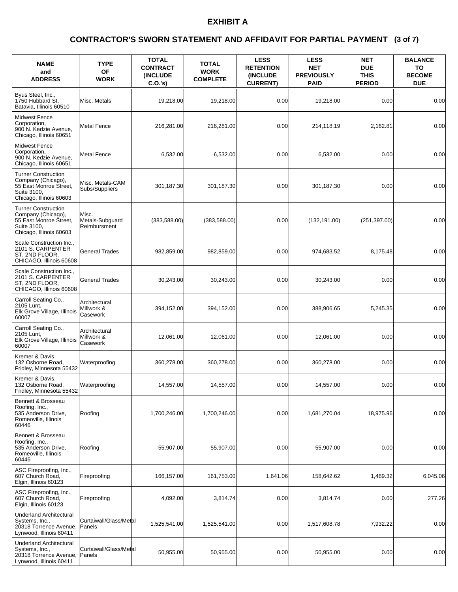### **(3 of 7) CONTRACTOR'S SWORN STATEMENT AND AFFIDAVIT FOR PARTIAL PAYMENT**

| <b>NAME</b><br>and<br><b>ADDRESS</b>                                                                                 | <b>TYPE</b><br>OF<br><b>WORK</b>         | <b>TOTAL</b><br><b>CONTRACT</b><br><b>(INCLUDE)</b><br>C.O.'s | <b>TOTAL</b><br><b>WORK</b><br><b>COMPLETE</b> | <b>LESS</b><br><b>RETENTION</b><br><b>(INCLUDE</b><br><b>CURRENT)</b> | <b>LESS</b><br><b>NET</b><br><b>PREVIOUSLY</b><br><b>PAID</b> | <b>NET</b><br><b>DUE</b><br><b>THIS</b><br><b>PERIOD</b> | <b>BALANCE</b><br>TO<br><b>BECOME</b><br><b>DUE</b> |
|----------------------------------------------------------------------------------------------------------------------|------------------------------------------|---------------------------------------------------------------|------------------------------------------------|-----------------------------------------------------------------------|---------------------------------------------------------------|----------------------------------------------------------|-----------------------------------------------------|
| Byus Steel, Inc.,<br>1750 Hubbard St.<br>Batavia, Illinois 60510                                                     | Misc. Metals                             | 19,218.00                                                     | 19,218.00                                      | 0.00                                                                  | 19,218.00                                                     | 0.00                                                     | 0.00                                                |
| <b>Midwest Fence</b><br>Corporation,<br>900 N. Kedzie Avenue,<br>Chicago, Illinois 60651                             | <b>Metal Fence</b>                       | 216,281.00                                                    | 216,281.00                                     | 0.00                                                                  | 214,118.19                                                    | 2,162.81                                                 | 0.00                                                |
| <b>Midwest Fence</b><br>Corporation,<br>900 N. Kedzie Avenue,<br>Chicago, Illinois 60651                             | <b>Metal Fence</b>                       | 6,532.00                                                      | 6,532.00                                       | 0.00                                                                  | 6,532.00                                                      | 0.00                                                     | 0.00                                                |
| <b>Turner Construction</b><br>Company (Chicago),<br>55 East Monroe Street,<br>Suite 3100,<br>Chicago, Illinois 60603 | Misc. Metals-CAM<br>Subs/Suppliers       | 301,187.30                                                    | 301,187.30                                     | 0.00                                                                  | 301,187.30                                                    | 0.00                                                     | 0.00                                                |
| <b>Turner Construction</b><br>Company (Chicago),<br>55 East Monroe Street.<br>Suite 3100,<br>Chicago, Illinois 60603 | Misc.<br>Metals-Subguard<br>Reimbursment | (383, 588.00)                                                 | (383, 588.00)                                  | 0.00                                                                  | (132, 191.00)                                                 | (251, 397.00)                                            | 0.00                                                |
| Scale Construction Inc.,<br>2101 S. CARPENTER<br>ST, 2ND FLOOR,<br>CHICAGO, Illinois 60608                           | <b>General Trades</b>                    | 982,859.00                                                    | 982,859.00                                     | 0.00                                                                  | 974,683.52                                                    | 8,175.48                                                 | 0.00                                                |
| Scale Construction Inc.,<br>2101 S. CARPENTER<br>ST, 2ND FLOOR,<br>CHICAGO, Illinois 60608                           | <b>General Trades</b>                    | 30,243.00                                                     | 30,243.00                                      | 0.00                                                                  | 30,243.00                                                     | 0.00                                                     | 0.00                                                |
| Carroll Seating Co.,<br>2105 Lunt,<br>Elk Grove Village, Illinois<br>60007                                           | Architectural<br>Millwork &<br>Casework  | 394,152.00                                                    | 394,152.00                                     | 0.00                                                                  | 388,906.65                                                    | 5,245.35                                                 | 0.00                                                |
| Carroll Seating Co.,<br>2105 Lunt,<br>Elk Grove Village, Illinois<br>60007                                           | Architectural<br>Millwork &<br>Casework  | 12,061.00                                                     | 12,061.00                                      | 0.00                                                                  | 12,061.00                                                     | 0.00                                                     | 0.00                                                |
| Kremer & Davis,<br>132 Osborne Road,<br>Fridley, Minnesota 55432                                                     | Waterproofing                            | 360,278.00                                                    | 360,278.00                                     | 0.00                                                                  | 360,278.00                                                    | 0.00                                                     | 0.00                                                |
| Kremer & Davis,<br>132 Osborne Road,<br>Fridley, Minnesota 55432                                                     | Waterproofing                            | 14,557.00                                                     | 14,557.00                                      | 0.00                                                                  | 14,557.00                                                     | 0.00                                                     | 0.00                                                |
| Bennett & Brosseau<br>Roofing, Inc.,<br>535 Anderson Drive,<br>Romeoville, Illinois<br>60446                         | Roofing                                  | 1,700,246.00                                                  | 1,700,246.00                                   | 0.00                                                                  | 1,681,270.04                                                  | 18,975.96                                                | 0.00                                                |
| Bennett & Brosseau<br>Roofing, Inc.,<br>535 Anderson Drive,<br>Romeoville, Illinois<br>60446                         | Roofing                                  | 55,907.00                                                     | 55,907.00                                      | 0.00                                                                  | 55,907.00                                                     | 0.00                                                     | 0.00                                                |
| ASC Fireproofing, Inc.,<br>607 Church Road.<br>Elgin, Illinois 60123                                                 | Fireproofing                             | 166,157.00                                                    | 161,753.00                                     | 1,641.06                                                              | 158,642.62                                                    | 1,469.32                                                 | 6,045.06                                            |
| ASC Fireproofing, Inc.,<br>607 Church Road,<br>Elgin, Illinois 60123                                                 | Fireproofing                             | 4,092.00                                                      | 3,814.74                                       | 0.00                                                                  | 3,814.74                                                      | 0.00                                                     | 277.26                                              |
| <b>Underland Architectural</b><br>Systems, Inc.,<br>20318 Torrence Avenue,<br>Lynwood, Illinois 60411                | Curtaiwall/Glass/Metal<br>Panels         | 1,525,541.00                                                  | 1,525,541.00                                   | 0.00                                                                  | 1,517,608.78                                                  | 7,932.22                                                 | 0.00                                                |
| <b>Underland Architectural</b><br>Systems, Inc.,<br>20318 Torrence Avenue,<br>Lynwood, Illinois 60411                | Curtaiwall/Glass/Metal<br><b>Panels</b>  | 50,955.00                                                     | 50,955.00                                      | 0.00                                                                  | 50,955.00                                                     | 0.00                                                     | 0.00                                                |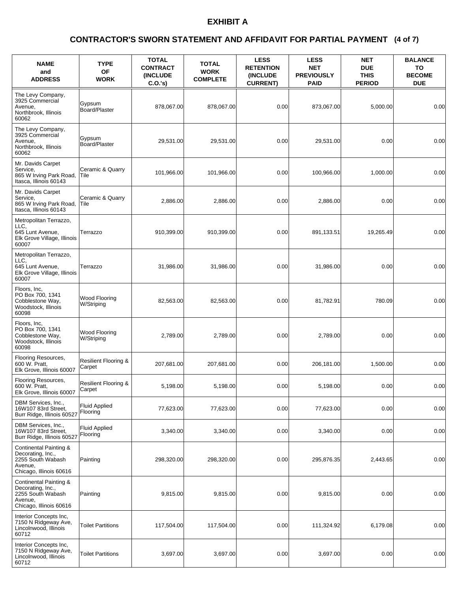### **(4 of 7) CONTRACTOR'S SWORN STATEMENT AND AFFIDAVIT FOR PARTIAL PAYMENT**

| <b>NAME</b><br>and<br><b>ADDRESS</b>                                                                   | <b>TYPE</b><br><b>OF</b><br><b>WORK</b>   | <b>TOTAL</b><br><b>CONTRACT</b><br>(INCLUDE<br>C.O.'s) | <b>TOTAL</b><br><b>WORK</b><br><b>COMPLETE</b> | <b>LESS</b><br><b>RETENTION</b><br><b>(INCLUDE</b><br><b>CURRENT)</b> | <b>LESS</b><br><b>NET</b><br><b>PREVIOUSLY</b><br><b>PAID</b> | NET<br><b>DUE</b><br><b>THIS</b><br><b>PERIOD</b> | <b>BALANCE</b><br>TO<br><b>BECOME</b><br><b>DUE</b> |
|--------------------------------------------------------------------------------------------------------|-------------------------------------------|--------------------------------------------------------|------------------------------------------------|-----------------------------------------------------------------------|---------------------------------------------------------------|---------------------------------------------------|-----------------------------------------------------|
| The Levy Company,<br>3925 Commercial<br>Avenue,<br>Northbrook, Illinois<br>60062                       | Gypsum<br><b>Board/Plaster</b>            | 878,067.00                                             | 878,067.00                                     | 0.00                                                                  | 873,067.00                                                    | 5,000.00                                          | 0.00                                                |
| The Levy Company,<br>3925 Commercial<br>Avenue,<br>Northbrook, Illinois<br>60062                       | Gypsum<br>Board/Plaster                   | 29,531.00                                              | 29,531.00                                      | 0.00                                                                  | 29,531.00                                                     | 0.00                                              | 0.00                                                |
| Mr. Davids Carpet<br>Service,<br>865 W Irving Park Road,<br>Itasca, Illinois 60143                     | Ceramic & Quarry<br> Tile                 | 101,966.00                                             | 101,966.00                                     | 0.00                                                                  | 100,966.00                                                    | 1,000.00                                          | 0.00                                                |
| Mr. Davids Carpet<br>Service,<br>865 W Irving Park Road,<br>Itasca, Illinois 60143                     | Ceramic & Quarry<br>Tile                  | 2,886.00                                               | 2,886.00                                       | 0.00                                                                  | 2,886.00                                                      | 0.00                                              | 0.00                                                |
| Metropolitan Terrazzo,<br>LLC.<br>645 Lunt Avenue,<br>Elk Grove Village, Illinois<br>60007             | Terrazzo                                  | 910,399.00                                             | 910,399.00                                     | 0.00                                                                  | 891,133.51                                                    | 19,265.49                                         | 0.00                                                |
| Metropolitan Terrazzo,<br>LLC.<br>645 Lunt Avenue,<br>Elk Grove Village, Illinois<br>60007             | Terrazzo                                  | 31,986.00                                              | 31,986.00                                      | 0.00                                                                  | 31,986.00                                                     | 0.00                                              | 0.00                                                |
| Floors, Inc,<br>PO Box 700, 1341<br>Cobblestone Way,<br>Woodstock, Illinois<br>60098                   | Wood Flooring<br>W/Striping               | 82,563.00                                              | 82,563.00                                      | 0.00                                                                  | 81,782.91                                                     | 780.09                                            | 0.00                                                |
| Floors, Inc,<br>PO Box 700, 1341<br>Cobblestone Way,<br>Woodstock, Illinois<br>60098                   | <b>Wood Flooring</b><br>W/Striping        | 2,789.00                                               | 2,789.00                                       | 0.00                                                                  | 2,789.00                                                      | 0.00                                              | 0.00                                                |
| Flooring Resources,<br>600 W. Pratt.<br>Elk Grove, Illinois 60007                                      | <b>Resilient Flooring &amp;</b><br>Carpet | 207,681.00                                             | 207,681.00                                     | 0.00                                                                  | 206,181.00                                                    | 1,500.00                                          | 0.00                                                |
| Flooring Resources,<br>600 W. Pratt,<br>Elk Grove, Illinois 60007                                      | Resilient Flooring &<br>Carpet            | 5,198.00                                               | 5,198.00                                       | 0.00                                                                  | 5,198.00                                                      | 0.00                                              | 0.00                                                |
| DBM Services, Inc.,<br>16W107 83rd Street,<br>Burr Ridge, Illinois 60527                               | <b>Fluid Applied</b><br>Flooring          | 77,623.00                                              | 77,623.00                                      | 0.00                                                                  | 77,623.00                                                     | 0.00                                              | 0.00                                                |
| DBM Services, Inc.,<br>16W107 83rd Street,<br>Burr Ridge, Illinois 60527                               | <b>Fluid Applied</b><br>Flooring          | 3,340.00                                               | 3,340.00                                       | 0.00                                                                  | 3,340.00                                                      | 0.00                                              | 0.00                                                |
| Continental Painting &<br>Decorating, Inc.,<br>2255 South Wabash<br>Avenue,<br>Chicago, Illinois 60616 | Painting                                  | 298,320.00                                             | 298,320.00                                     | 0.00                                                                  | 295,876.35                                                    | 2,443.65                                          | 0.00                                                |
| Continental Painting &<br>Decorating, Inc.,<br>2255 South Wabash<br>Avenue,<br>Chicago, Illinois 60616 | Painting                                  | 9,815.00                                               | 9,815.00                                       | 0.00                                                                  | 9,815.00                                                      | 0.00                                              | 0.00                                                |
| Interior Concepts Inc,<br>7150 N Ridgeway Ave,<br>Lincolnwood, Illinois<br>60712                       | <b>Toilet Partitions</b>                  | 117,504.00                                             | 117,504.00                                     | 0.00                                                                  | 111,324.92                                                    | 6,179.08                                          | 0.00                                                |
| Interior Concepts Inc,<br>7150 N Ridgeway Ave,<br>Lincolnwood, Illinois<br>60712                       | <b>Toilet Partitions</b>                  | 3,697.00                                               | 3,697.00                                       | 0.00                                                                  | 3,697.00                                                      | 0.00                                              | 0.00                                                |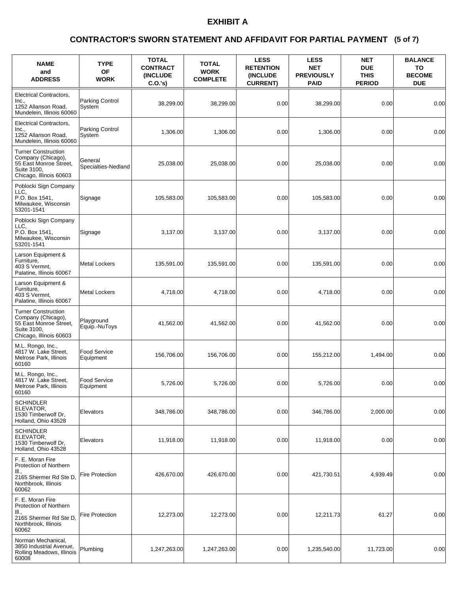### **(5 of 7) CONTRACTOR'S SWORN STATEMENT AND AFFIDAVIT FOR PARTIAL PAYMENT**

| <b>NAME</b><br>and<br><b>ADDRESS</b>                                                                                 | <b>TYPE</b><br><b>OF</b><br><b>WORK</b> | <b>TOTAL</b><br><b>CONTRACT</b><br>(INCLUDE<br>C.O.'s) | <b>TOTAL</b><br><b>WORK</b><br><b>COMPLETE</b> | <b>LESS</b><br><b>RETENTION</b><br>(INCLUDE<br><b>CURRENT)</b> | <b>LESS</b><br><b>NET</b><br><b>PREVIOUSLY</b><br><b>PAID</b> | <b>NET</b><br><b>DUE</b><br><b>THIS</b><br><b>PERIOD</b> | <b>BALANCE</b><br>TO<br><b>BECOME</b><br><b>DUE</b> |
|----------------------------------------------------------------------------------------------------------------------|-----------------------------------------|--------------------------------------------------------|------------------------------------------------|----------------------------------------------------------------|---------------------------------------------------------------|----------------------------------------------------------|-----------------------------------------------------|
| Electrical Contractors,<br>Inc.,<br>1252 Allanson Road,<br>Mundelein, Illinois 60060                                 | Parking Control<br>System               | 38,299.00                                              | 38,299.00                                      | 0.00                                                           | 38,299.00                                                     | 0.00                                                     | 0.00                                                |
| Electrical Contractors,<br>Inc.,<br>1252 Allanson Road,<br>Mundelein, Illinois 60060                                 | Parking Control<br>System               | 1,306.00                                               | 1,306.00                                       | 0.00                                                           | 1.306.00                                                      | 0.00                                                     | 0.00                                                |
| <b>Turner Construction</b><br>Company (Chicago),<br>55 East Monroe Street,<br>Suite 3100.<br>Chicago, Illinois 60603 | General<br>Specialties-Nedland          | 25,038.00                                              | 25,038.00                                      | 0.00                                                           | 25,038.00                                                     | 0.00                                                     | 0.00                                                |
| Poblocki Sign Company<br>LLC,<br>P.O. Box 1541,<br>Milwaukee, Wisconsin<br>53201-1541                                | Signage                                 | 105,583.00                                             | 105,583.00                                     | 0.00                                                           | 105,583.00                                                    | 0.00                                                     | 0.00                                                |
| Poblocki Sign Company<br>LLC.<br>P.O. Box 1541,<br>Milwaukee, Wisconsin<br>53201-1541                                | Signage                                 | 3,137.00                                               | 3,137.00                                       | 0.00                                                           | 3,137.00                                                      | 0.00                                                     | 0.00                                                |
| Larson Equipment &<br>Furniture,<br>403 S Vermnt,<br>Palatine, Illinois 60067                                        | <b>Metal Lockers</b>                    | 135,591.00                                             | 135,591.00                                     | 0.00                                                           | 135,591.00                                                    | 0.00                                                     | 0.00                                                |
| Larson Equipment &<br>Furniture,<br>403 S Vermnt,<br>Palatine, Illinois 60067                                        | <b>Metal Lockers</b>                    | 4,718.00                                               | 4,718.00                                       | 0.00                                                           | 4,718.00                                                      | 0.00                                                     | 0.00                                                |
| <b>Turner Construction</b><br>Company (Chicago),<br>55 East Monroe Street,<br>Suite 3100,<br>Chicago, Illinois 60603 | Playground<br>Equip.-NuToys             | 41,562.00                                              | 41,562.00                                      | 0.00                                                           | 41,562.00                                                     | 0.00                                                     | 0.00                                                |
| M.L. Rongo, Inc.,<br>4817 W. Lake Street,<br>Melrose Park, Illinois<br>60160                                         | Food Service<br>Equipment               | 156,706.00                                             | 156,706.00                                     | 0.00                                                           | 155,212.00                                                    | 1,494.00                                                 | 0.00                                                |
| M.L. Rongo, Inc.,<br>4817 W. Lake Street,<br>Melrose Park. Illinois<br>60160                                         | <b>Food Service</b><br>Equipment        | 5,726.00                                               | 5,726.00                                       | 0.00                                                           | 5,726.00                                                      | 0.00                                                     | 0.00                                                |
| <b>SCHINDLER</b><br>ELEVATOR,<br>1530 Timberwolf Dr.<br>Holland, Ohio 43528                                          | Elevators                               | 348,786.00                                             | 348,786.00                                     | 0.00                                                           | 346,786.00                                                    | 2,000.00                                                 | 0.00                                                |
| <b>SCHINDLER</b><br>ELEVATOR.<br>1530 Timberwolf Dr,<br>Holland, Ohio 43528                                          | Elevators                               | 11,918.00                                              | 11,918.00                                      | 0.00                                                           | 11,918.00                                                     | 0.00                                                     | 0.00                                                |
| F. E. Moran Fire<br>Protection of Northern<br>III.,<br>2165 Shermer Rd Ste D,<br>Northbrook, Illinois<br>60062       | Fire Protection                         | 426,670.00                                             | 426,670.00                                     | 0.00                                                           | 421,730.51                                                    | 4,939.49                                                 | 0.00                                                |
| F. E. Moran Fire<br>Protection of Northern<br>III.,<br>2165 Shermer Rd Ste D,<br>Northbrook, Illinois<br>60062       | Fire Protection                         | 12,273.00                                              | 12,273.00                                      | 0.00                                                           | 12,211.73                                                     | 61.27                                                    | 0.00                                                |
| Norman Mechanical,<br>3850 Industrial Avenue,<br>Rolling Meadows, Illinois<br>60008                                  | Plumbing                                | 1,247,263.00                                           | 1,247,263.00                                   | 0.00                                                           | 1,235,540.00                                                  | 11,723.00                                                | 0.00                                                |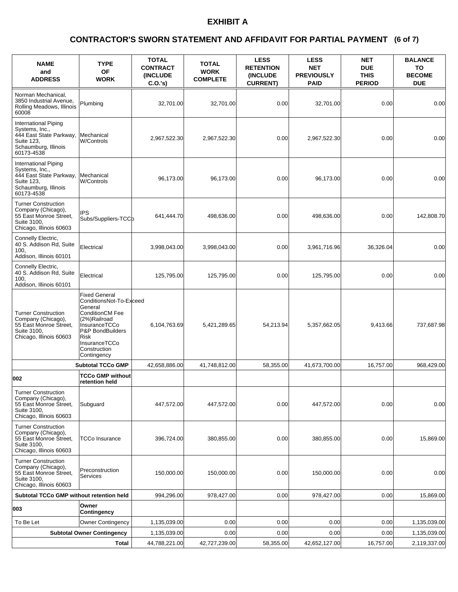### **(6 of 7) CONTRACTOR'S SWORN STATEMENT AND AFFIDAVIT FOR PARTIAL PAYMENT**

| <b>NAME</b><br>and<br><b>ADDRESS</b>                                                                                  | <b>TYPE</b><br>OF<br><b>WORK</b>                                                                                                                                                                         | <b>TOTAL</b><br><b>CONTRACT</b><br><b>(INCLUDE)</b><br>C.O.'s) | <b>TOTAL</b><br><b>WORK</b><br><b>COMPLETE</b> | <b>LESS</b><br><b>RETENTION</b><br><b>(INCLUDE)</b><br><b>CURRENT)</b> | <b>LESS</b><br><b>NET</b><br><b>PREVIOUSLY</b><br><b>PAID</b> | <b>NET</b><br><b>DUE</b><br><b>THIS</b><br><b>PERIOD</b> | <b>BALANCE</b><br>TO<br><b>BECOME</b><br><b>DUE</b> |
|-----------------------------------------------------------------------------------------------------------------------|----------------------------------------------------------------------------------------------------------------------------------------------------------------------------------------------------------|----------------------------------------------------------------|------------------------------------------------|------------------------------------------------------------------------|---------------------------------------------------------------|----------------------------------------------------------|-----------------------------------------------------|
| Norman Mechanical,<br>3850 Industrial Avenue.<br>Rolling Meadows, Illinois<br>60008                                   | Plumbing                                                                                                                                                                                                 | 32.701.00                                                      | 32,701.00                                      | 0.00                                                                   | 32,701.00                                                     | 0.00                                                     | 0.00                                                |
| International Piping<br>Systems, Inc.,<br>444 East State Parkway,<br>Suite 123,<br>Schaumburg, Illinois<br>60173-4538 | Mechanical<br><b>W/Controls</b>                                                                                                                                                                          | 2,967,522.30                                                   | 2,967,522.30                                   | 0.00                                                                   | 2,967,522.30                                                  | 0.00                                                     | 0.00                                                |
| International Piping<br>Systems, Inc.,<br>444 East State Parkway,<br>Suite 123,<br>Schaumburg, Illinois<br>60173-4538 | Mechanical<br><b>W/Controls</b>                                                                                                                                                                          | 96,173.00                                                      | 96,173.00                                      | 0.00                                                                   | 96,173.00                                                     | 0.00                                                     | 0.00                                                |
| <b>Turner Construction</b><br>Company (Chicago),<br>55 East Monroe Street,<br>Suite 3100,<br>Chicago, Illinois 60603  | <b>IPS</b><br>Subs/Suppliers-TCCb                                                                                                                                                                        | 641,444.70                                                     | 498,636.00                                     | 0.00                                                                   | 498,636.00                                                    | 0.00                                                     | 142,808.70                                          |
| Connelly Electric,<br>40 S. Addison Rd, Suite<br>100,<br>Addison, Illinois 60101                                      | Electrical                                                                                                                                                                                               | 3,998,043.00                                                   | 3,998,043.00                                   | 0.00                                                                   | 3,961,716.96                                                  | 36,326.04                                                | 0.00                                                |
| Connelly Electric,<br>40 S. Addison Rd, Suite<br>100.<br>Addison, Illinois 60101                                      | Electrical                                                                                                                                                                                               | 125,795.00                                                     | 125,795.00                                     | 0.00                                                                   | 125,795.00                                                    | 0.00                                                     | 0.00                                                |
| <b>Turner Construction</b><br>Company (Chicago),<br>55 East Monroe Street,<br>Suite 3100,<br>Chicago, Illinois 60603  | <b>Fixed General</b><br>ConditionsNot-To-Exceed<br>General<br><b>ConditionCM Fee</b><br>(2%)Railroad<br>InsuranceTCCo<br>P&P BondBuilders<br><b>Risk</b><br>InsuranceTCCo<br>Construction<br>Contingency | 6,104,763.69                                                   | 5,421,289.65                                   | 54,213.94                                                              | 5,357,662.05                                                  | 9,413.66                                                 | 737,687.98                                          |
|                                                                                                                       | <b>Subtotal TCCo GMP</b>                                                                                                                                                                                 | 42,658,886.00                                                  | 41,748,812.00                                  | 58,355.00                                                              | 41,673,700.00                                                 | 16,757.00                                                | 968.429.00                                          |
| 002                                                                                                                   | TCCo GMP without<br>retention held                                                                                                                                                                       |                                                                |                                                |                                                                        |                                                               |                                                          |                                                     |
| <b>Turner Construction</b><br>Company (Chicago),<br>55 East Monroe Street,<br>Suite 3100.<br>Chicago, Illinois 60603  | Subguard                                                                                                                                                                                                 | 447,572.00                                                     | 447,572.00                                     | 0.00                                                                   | 447,572.00                                                    | 0.00                                                     | 0.00                                                |
| <b>Turner Construction</b><br>Company (Chicago),<br>55 East Monroe Street,<br>Suite 3100.<br>Chicago, Illinois 60603  | <b>TCCo Insurance</b>                                                                                                                                                                                    | 396,724.00                                                     | 380,855.00                                     | 0.00                                                                   | 380,855.00                                                    | 0.00                                                     | 15,869.00                                           |
| <b>Turner Construction</b><br>Company (Chicago),<br>55 East Monroe Street,<br>Suite 3100,<br>Chicago, Illinois 60603  | Preconstruction<br><b>Services</b>                                                                                                                                                                       | 150,000.00                                                     | 150,000.00                                     | 0.00                                                                   | 150,000.00                                                    | 0.00                                                     | 0.00                                                |
| Subtotal TCCo GMP without retention held                                                                              |                                                                                                                                                                                                          | 994,296.00                                                     | 978,427.00                                     | 0.00                                                                   | 978,427.00                                                    | 0.00                                                     | 15,869.00                                           |
| 003                                                                                                                   | Owner<br><b>Contingency</b>                                                                                                                                                                              |                                                                |                                                |                                                                        |                                                               |                                                          |                                                     |
| To Be Let                                                                                                             | Owner Contingency                                                                                                                                                                                        | 1,135,039.00                                                   | 0.00                                           | 0.00                                                                   | 0.00                                                          | 0.00                                                     | 1,135,039.00                                        |
|                                                                                                                       | <b>Subtotal Owner Contingency</b>                                                                                                                                                                        | 1,135,039.00                                                   | 0.00                                           | 0.00                                                                   | 0.00                                                          | 0.00                                                     | 1,135,039.00                                        |
|                                                                                                                       | Total                                                                                                                                                                                                    | 44,788,221.00                                                  | 42,727,239.00                                  | 58,355.00                                                              | 42,652,127.00                                                 | 16,757.00                                                | 2,119,337.00                                        |